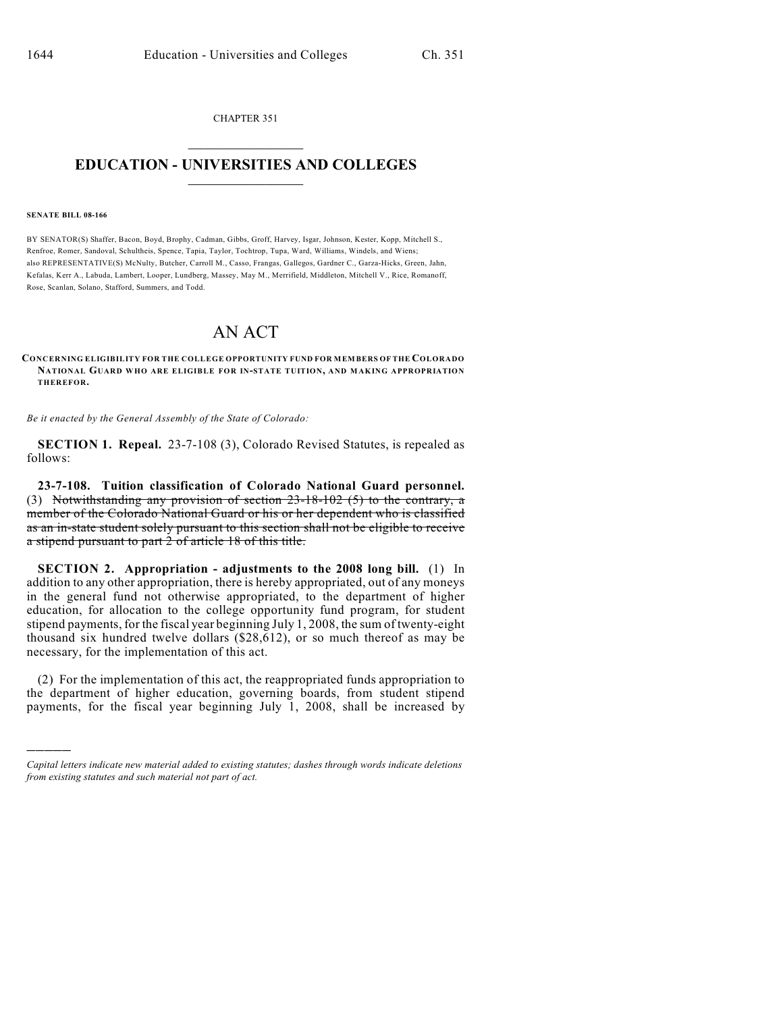CHAPTER 351  $\mathcal{L}_\text{max}$  . The set of the set of the set of the set of the set of the set of the set of the set of the set of the set of the set of the set of the set of the set of the set of the set of the set of the set of the set

## **EDUCATION - UNIVERSITIES AND COLLEGES**  $\frac{1}{2}$

## **SENATE BILL 08-166**

)))))

BY SENATOR(S) Shaffer, Bacon, Boyd, Brophy, Cadman, Gibbs, Groff, Harvey, Isgar, Johnson, Kester, Kopp, Mitchell S., Renfroe, Romer, Sandoval, Schultheis, Spence, Tapia, Taylor, Tochtrop, Tupa, Ward, Williams, Windels, and Wiens; also REPRESENTATIVE(S) McNulty, Butcher, Carroll M., Casso, Frangas, Gallegos, Gardner C., Garza-Hicks, Green, Jahn, Kefalas, Kerr A., Labuda, Lambert, Looper, Lundberg, Massey, May M., Merrifield, Middleton, Mitchell V., Rice, Romanoff, Rose, Scanlan, Solano, Stafford, Summers, and Todd.

## AN ACT

## **CONCERNING ELIGIBILITY FOR THE COLLEGE OPPORTUNITY FUND FOR MEMBERS OF THE COLORADO NATIONAL GUARD WHO ARE ELIGIBLE FOR IN-STATE TUITION, AND MAKING APPROPRIATION THEREFOR.**

*Be it enacted by the General Assembly of the State of Colorado:*

**SECTION 1. Repeal.** 23-7-108 (3), Colorado Revised Statutes, is repealed as follows:

**23-7-108. Tuition classification of Colorado National Guard personnel.** (3) Notwithstanding any provision of section 23-18-102 (5) to the contrary, a member of the Colorado National Guard or his or her dependent who is classified as an in-state student solely pursuant to this section shall not be eligible to receive a stipend pursuant to part 2 of article 18 of this title.

**SECTION 2. Appropriation - adjustments to the 2008 long bill.** (1) In addition to any other appropriation, there is hereby appropriated, out of any moneys in the general fund not otherwise appropriated, to the department of higher education, for allocation to the college opportunity fund program, for student stipend payments, for the fiscal year beginning July 1, 2008, the sum of twenty-eight thousand six hundred twelve dollars (\$28,612), or so much thereof as may be necessary, for the implementation of this act.

(2) For the implementation of this act, the reappropriated funds appropriation to the department of higher education, governing boards, from student stipend payments, for the fiscal year beginning July 1, 2008, shall be increased by

*Capital letters indicate new material added to existing statutes; dashes through words indicate deletions from existing statutes and such material not part of act.*